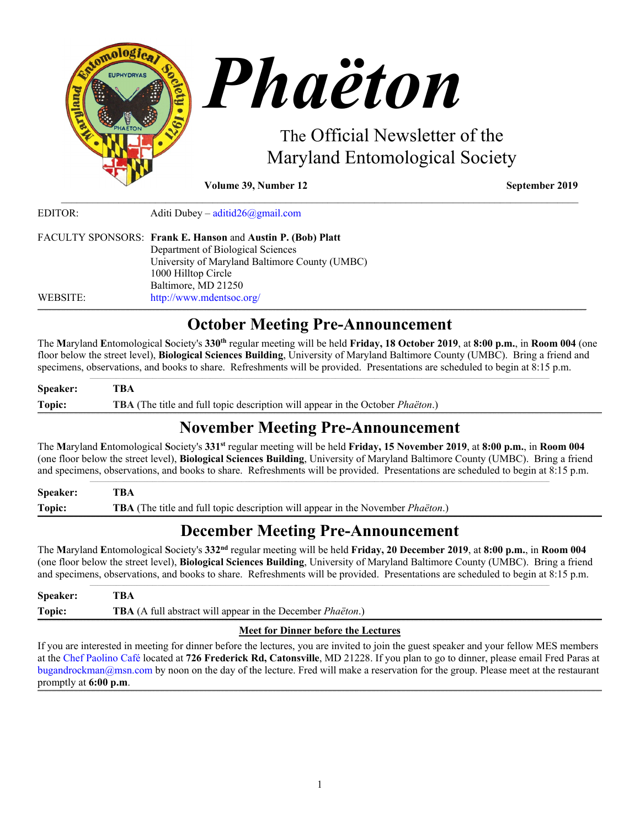

| EDITOR:  | Aditi Dubey – aditid $26$ @gmail.com                        |
|----------|-------------------------------------------------------------|
|          | FACULTY SPONSORS: Frank E. Hanson and Austin P. (Bob) Platt |
|          | Department of Biological Sciences                           |
|          | University of Maryland Baltimore County (UMBC)              |
|          | 1000 Hilltop Circle                                         |
|          | Baltimore, MD 21250                                         |
| WEBSITE: | http://www.mdentsoc.org/                                    |

# **October Meeting Pre-Announcement**

\_\_\_\_\_\_\_\_\_\_\_\_\_\_\_\_\_\_\_\_\_\_\_\_\_\_\_\_\_\_\_\_\_\_\_\_\_\_\_\_\_\_\_\_\_\_\_\_\_\_\_\_\_\_\_\_\_\_\_\_\_\_\_\_\_\_\_\_\_\_\_\_\_\_\_\_\_\_\_\_\_\_\_\_\_\_\_\_\_\_\_\_\_\_\_\_\_\_\_

The **M**aryland **E**ntomological **S**ociety's **330th** regular meeting will be held **Friday, 18 October 2019**, at **8:00 p.m.**, in **Room 004** (one floor below the street level), **Biological Sciences Building**, University of Maryland Baltimore County (UMBC). Bring a friend and specimens, observations, and books to share. Refreshments will be provided. Presentations are scheduled to begin at 8:15 p.m.  $\_$  ,  $\_$  ,  $\_$  ,  $\_$  ,  $\_$  ,  $\_$  ,  $\_$  ,  $\_$  ,  $\_$  ,  $\_$  ,  $\_$  ,  $\_$  ,  $\_$  ,  $\_$  ,  $\_$  ,  $\_$  ,  $\_$  ,  $\_$  ,  $\_$  ,  $\_$  ,  $\_$  ,  $\_$  ,  $\_$  ,  $\_$  ,  $\_$  ,  $\_$  ,  $\_$  ,  $\_$  ,  $\_$  ,  $\_$  ,  $\_$  ,  $\_$  ,  $\_$  ,  $\_$  ,  $\_$  ,  $\_$  ,  $\_$  ,

| Topic: | TBA (The title and full topic description will appear in the October <i>Phaëton</i> .) |
|--------|----------------------------------------------------------------------------------------|

# **November Meeting Pre-Announcement**

The **M**aryland **E**ntomological **S**ociety's **331st** regular meeting will be held **Friday, 15 November 2019**, at **8:00 p.m.**, in **Room 004** (one floor below the street level), **Biological Sciences Building**, University of Maryland Baltimore County (UMBC). Bring a friend and specimens, observations, and books to share. Refreshments will be provided. Presentations are scheduled to begin at 8:15 p.m.

**Speaker: TBA Topic: TBA** (The title and full topic description will appear in the November *Phaëton*.) ,我们就会在这里,我们的人们就会在这里,我们就会在这里,我们就会在这里,我们就会在这里,我们就会在这里,我们就会在这里,我们就会在这里,我们就会在这里,我们就会

# **December Meeting Pre-Announcement**

The **M**aryland **E**ntomological **S**ociety's **332nd** regular meeting will be held **Friday, 20 December 2019**, at **8:00 p.m.**, in **Room 004** (one floor below the street level), **Biological Sciences Building**, University of Maryland Baltimore County (UMBC). Bring a friend and specimens, observations, and books to share. Refreshments will be provided. Presentations are scheduled to begin at 8:15 p.m.

| Speaker: | TBA                                                                       |
|----------|---------------------------------------------------------------------------|
| Topic:   | <b>TBA</b> (A full abstract will appear in the December <i>Phaëton</i> .) |

## **Meet for Dinner before the Lectures**

If you are interested in meeting for dinner before the lectures, you are invited to join the guest speaker and your fellow MES members at the [Chef Paolino Café](https://www.google.com/maps/place/Chef+Paolino+Cafe/@39.2727924,-76.7320191,15z/data=!4m5!3m4!1s0x0:0x5b7140dd2ad4f543!8m2!3d39.2727924!4d-76.7320191) located at **726 Frederick Rd, Catonsville**, MD 21228. If you plan to go to dinner, please email Fred Paras at bugandrockman@msn.com by noon on the day of the lecture. Fred will make a reservation for the group. Please meet at the restaurant promptly at **6:00 p.m**. **\_\_\_\_\_\_\_\_\_\_\_\_\_\_\_\_\_\_\_\_\_\_\_\_\_\_\_\_\_\_\_\_\_\_\_\_\_\_\_\_\_\_\_\_\_\_\_\_\_\_\_\_\_\_\_\_\_\_\_\_\_\_\_\_\_\_\_\_\_\_\_\_\_\_\_\_\_\_\_\_\_\_\_\_\_\_\_\_\_\_\_\_\_\_\_\_\_\_\_\_\_\_\_\_\_\_\_\_\_\_\_\_\_\_\_\_\_\_\_\_\_\_\_\_\_\_\_\_\_\_\_\_\_\_\_\_\_\_\_\_\_\_\_\_\_\_\_\_\_\_\_\_\_\_\_\_\_\_\_\_\_\_\_\_\_\_\_\_\_\_\_\_\_\_\_\_\_\_\_\_\_\_\_\_\_\_\_\_\_\_\_\_\_\_\_\_\_\_\_\_\_\_\_\_\_\_\_\_\_\_\_\_\_\_\_\_\_\_\_\_\_\_\_\_\_\_\_\_\_\_\_\_\_\_\_\_\_\_\_\_\_\_\_\_\_\_\_\_\_\_\_\_\_\_\_\_\_\_\_\_\_\_\_\_\_\_\_\_\_\_\_\_\_\_\_\_\_\_\_\_\_\_\_\_\_\_\_\_\_\_\_\_\_\_\_\_\_\_\_\_\_\_\_\_\_\_\_\_\_\_\_\_\_\_\_\_\_\_\_\_\_\_\_\_\_\_\_\_\_\_\_\_\_\_\_\_\_\_\_\_\_\_\_\_\_\_\_\_\_\_\_\_\_\_\_\_\_\_\_\_**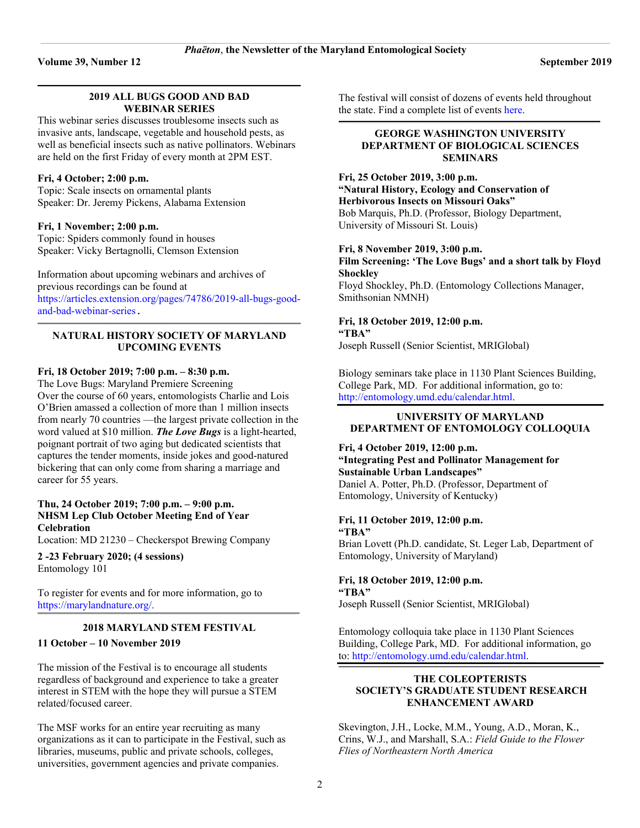#### **\_\_\_\_\_\_\_\_\_\_\_\_\_\_\_\_\_\_\_\_\_\_\_\_\_\_\_\_\_\_\_\_\_\_\_\_\_\_\_\_\_\_\_\_\_\_\_\_\_\_\_\_\_\_\_\_\_\_\_\_\_\_\_\_\_\_\_\_\_\_\_\_\_\_\_\_\_\_\_\_\_\_\_\_\_\_\_\_\_\_\_\_\_\_\_\_\_\_\_\_\_\_\_\_\_\_\_\_\_\_\_\_\_\_\_\_\_\_\_\_\_\_\_\_\_\_\_\_\_\_\_\_\_\_\_\_\_\_\_\_\_\_\_\_\_\_\_\_\_\_\_\_\_\_\_\_\_\_\_\_\_\_\_\_\_\_\_\_ 2019 ALL BUGS GOOD AND BAD WEBINAR SERIES**

This webinar series discusses troublesome insects such as invasive ants, landscape, vegetable and household pests, as well as beneficial insects such as native pollinators. Webinars are held on the first Friday of every month at 2PM EST.

## **Fri, 4 October; 2:00 p.m.**

Topic: Scale insects on ornamental plants Speaker: Dr. Jeremy Pickens, Alabama Extension

#### **Fri, 1 November; 2:00 p.m.**

Topic: Spiders commonly found in houses Speaker: Vicky Bertagnolli, Clemson Extension

Information about upcoming webinars and archives of previous recordings can be found at [https://articles.extension.org/pages/74786/2019-all-bugs-good](https://articles.extension.org/pages/74786/2019-all-bugs-good-and-bad-webinar-series)[and-bad-webinar-series](https://articles.extension.org/pages/74786/2019-all-bugs-good-and-bad-webinar-series).

#### **\_\_\_\_\_\_\_\_\_\_\_\_\_\_\_\_\_\_\_\_\_\_\_\_\_\_\_\_\_\_\_\_\_\_\_\_\_\_\_\_\_\_\_\_\_\_\_\_\_\_\_\_\_\_\_\_\_\_\_\_\_\_\_\_\_\_\_\_\_\_\_\_\_\_\_\_\_\_\_\_\_\_\_\_\_\_\_\_\_\_\_\_\_\_\_\_\_\_\_\_\_\_\_\_\_\_\_\_\_\_\_\_\_\_\_\_\_\_\_\_\_\_\_\_\_\_\_\_\_\_\_\_\_\_\_\_\_\_\_\_\_\_\_\_\_\_\_\_\_\_\_\_\_\_\_\_\_\_\_\_\_\_\_\_\_\_\_\_ NATURAL HISTORY SOCIETY OF MARYLAND UPCOMING EVENTS**

## **Fri, 18 October 2019; 7:00 p.m. – 8:30 p.m.**

The Love Bugs: Maryland Premiere Screening Over the course of 60 years, entomologists Charlie and Lois O'Brien amassed a collection of more than 1 million insects from nearly 70 countries —the largest private collection in the word valued at \$10 million. *The Love Bugs* is a light-hearted, poignant portrait of two aging but dedicated scientists that captures the tender moments, inside jokes and good-natured bickering that can only come from sharing a marriage and career for 55 years.

## **Thu, 24 October 2019; 7:00 p.m. – 9:00 p.m. NHSM Lep Club October Meeting End of Year Celebration**

Location: MD 21230 – Checkerspot Brewing Company

**2 -23 February 2020; (4 sessions)** Entomology 101

To register for events and for more information, go to [https://marylandnature.org/.](https://marylandnature.org/)

#### $\mathcal{L} = \{ \mathcal{L} = \{ \mathcal{L} = \{ \mathcal{L} = \{ \mathcal{L} = \{ \mathcal{L} = \{ \mathcal{L} = \{ \mathcal{L} = \{ \mathcal{L} = \{ \mathcal{L} = \{ \mathcal{L} = \{ \mathcal{L} = \{ \mathcal{L} = \{ \mathcal{L} = \{ \mathcal{L} = \{ \mathcal{L} = \{ \mathcal{L} = \{ \mathcal{L} = \{ \mathcal{L} = \{ \mathcal{L} = \{ \mathcal{L} = \{ \mathcal{L} = \{ \mathcal{L} = \{ \mathcal{L} = \{ \mathcal{$ **2018 MARYLAND STEM FESTIVAL**

## **11 October – 10 November 2019**

The mission of the Festival is to encourage all students regardless of background and experience to take a greater interest in STEM with the hope they will pursue a STEM related/focused career.

The MSF works for an entire year recruiting as many organizations as it can to participate in the Festival, such as libraries, museums, public and private schools, colleges, universities, government agencies and private companies.

The festival will consist of dozens of events held throughout the state. Find a complete list of event[s here.](https://marylandstemfestival.org/events/events#sort=attr.ct4.frontend_value&sortdir=desc) **\_\_\_\_\_\_\_\_\_\_\_\_\_\_\_\_\_\_\_\_\_\_\_\_\_\_\_\_\_\_\_\_\_\_\_\_\_\_\_\_\_\_\_\_\_\_\_\_\_\_\_\_\_\_\_\_\_\_\_\_\_\_\_\_\_\_\_\_\_\_\_\_\_\_\_\_\_\_\_\_\_\_\_\_\_\_\_\_\_\_\_\_\_\_\_\_\_\_\_\_\_\_\_\_\_\_\_\_\_\_\_\_\_\_\_\_\_\_\_\_\_\_\_\_\_\_\_\_\_\_\_\_\_\_\_\_\_\_\_\_\_\_\_\_\_\_\_\_\_\_\_\_\_\_\_\_\_\_\_\_\_\_\_\_\_\_\_**

## **GEORGE WASHINGTON UNIVERSITY DEPARTMENT OF BIOLOGICAL SCIENCES SEMINARS**

## **Fri, 25 October 2019, 3:00 p.m. "Natural History, Ecology and Conservation of Herbivorous Insects on Missouri Oaks"** Bob Marquis, Ph.D. (Professor, Biology Department, University of Missouri St. Louis)

#### **Fri, 8 November 2019, 3:00 p.m.**

**Film Screening: 'The Love Bugs' and a short talk by Floyd Shockley** Floyd Shockley, Ph.D. (Entomology Collections Manager, Smithsonian NMNH)

## **Fri, 18 October 2019, 12:00 p.m. "TBA"** Joseph Russell (Senior Scientist, MRIGlobal)

Biology seminars take place in 1130 Plant Sciences Building, College Park, MD. For additional information, go to:

[http://entomology.umd.edu/calendar.html.](http://entomology.umd.edu/calendar.html)

### **UNIVERSITY OF MARYLAND DEPARTMENT OF ENTOMOLOGY COLLOQUIA**

## **Fri, 4 October 2019, 12:00 p.m. "Integrating Pest and Pollinator Management for Sustainable Urban Landscapes"** Daniel A. Potter, Ph.D. (Professor, Department of

Entomology, University of Kentucky)

#### **Fri, 11 October 2019, 12:00 p.m. "TBA"**

Brian Lovett (Ph.D. candidate, St. Leger Lab, Department of Entomology, University of Maryland)

#### **Fri, 18 October 2019, 12:00 p.m. "TBA"**

Joseph Russell (Senior Scientist, MRIGlobal)

Entomology colloquia take place in 1130 Plant Sciences Building, College Park, MD. For additional information, go to: [http://entomology.umd.edu/calendar.html.](http://entomology.umd.edu/calendar.html)

## **THE COLEOPTERISTS SOCIETY'S GRADUATE STUDENT RESEARCH ENHANCEMENT AWARD**

 $\mathcal{L} = \{ \mathcal{L} = \{ \mathcal{L} = \{ \mathcal{L} = \{ \mathcal{L} = \{ \mathcal{L} = \{ \mathcal{L} = \{ \mathcal{L} = \{ \mathcal{L} = \{ \mathcal{L} = \{ \mathcal{L} = \{ \mathcal{L} = \{ \mathcal{L} = \{ \mathcal{L} = \{ \mathcal{L} = \{ \mathcal{L} = \{ \mathcal{L} = \{ \mathcal{L} = \{ \mathcal{L} = \{ \mathcal{L} = \{ \mathcal{L} = \{ \mathcal{L} = \{ \mathcal{L} = \{ \mathcal{L} = \{ \mathcal{$ 

Skevington, J.H., Locke, M.M., Young, A.D., Moran, K., Crins, W.J., and Marshall, S.A.: *Field Guide to the Flower Flies of Northeastern North America*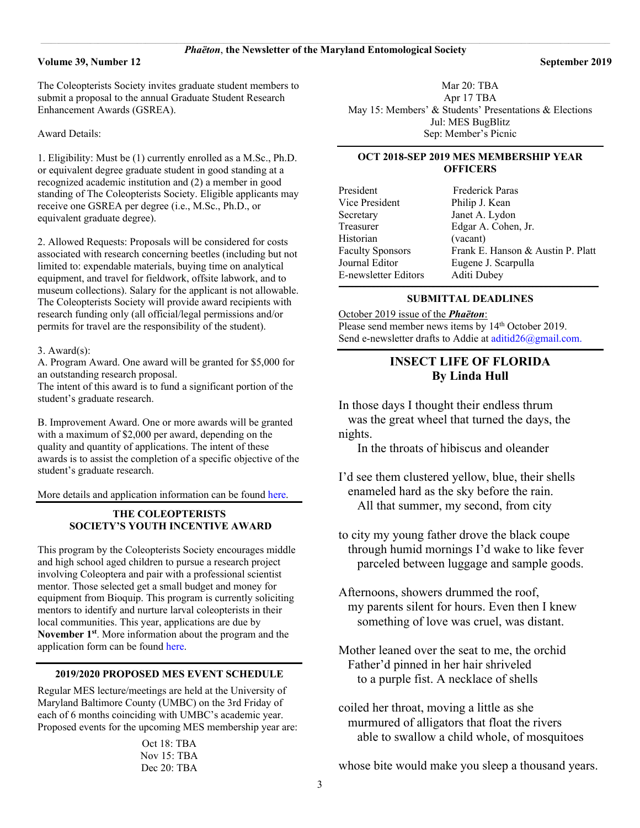The Coleopterists Society invites graduate student members to submit a proposal to the annual Graduate Student Research Enhancement Awards (GSREA).

Award Details:

1. Eligibility: Must be (1) currently enrolled as a M.Sc., Ph.D. or equivalent degree graduate student in good standing at a recognized academic institution and (2) a member in good standing of The Coleopterists Society. Eligible applicants may receive one GSREA per degree (i.e., M.Sc., Ph.D., or equivalent graduate degree).

2. Allowed Requests: Proposals will be considered for costs associated with research concerning beetles (including but not limited to: expendable materials, buying time on analytical equipment, and travel for fieldwork, offsite labwork, and to museum collections). Salary for the applicant is not allowable. The Coleopterists Society will provide award recipients with research funding only (all official/legal permissions and/or permits for travel are the responsibility of the student).

#### 3. Award(s):

A. Program Award. One award will be granted for \$5,000 for an outstanding research proposal.

The intent of this award is to fund a significant portion of the student's graduate research.

B. Improvement Award. One or more awards will be granted with a maximum of \$2,000 per award, depending on the quality and quantity of applications. The intent of these awards is to assist the completion of a specific objective of the student's graduate research.

More details and application information can be found [here.](https://www.coleopsoc.org/society-info/prizes-and-awards/graduate-student-research-enhancement-award/)

## **THE COLEOPTERISTS SOCIETY'S YOUTH INCENTIVE AWARD**

This program by the Coleopterists Society encourages middle and high school aged children to pursue a research project involving Coleoptera and pair with a professional scientist mentor. Those selected get a small budget and money for equipment from Bioquip. This program is currently soliciting mentors to identify and nurture larval coleopterists in their local communities. This year, applications are due by **November 1st**. More information about the program and the application form can be found [here.](https://www.coleopsoc.org/society-info/prizes-and-awards/youth-incentive-award/)

### **2019/2020 PROPOSED MES EVENT SCHEDULE**

Regular MES lecture/meetings are held at the University of Maryland Baltimore County (UMBC) on the 3rd Friday of each of 6 months coinciding with UMBC's academic year. Proposed events for the upcoming MES membership year are:

> Oct 18: TBA Nov 15: TBA Dec 20: TBA

Mar 20: TBA Apr 17 TBA May 15: Members' & Students' Presentations & Elections Jul: MES BugBlitz Sep: Member's Picnic

#### **OCT 2018-SEP 2019 MES MEMBERSHIP YEAR OFFICERS**

| President               | <b>Frederick Paras</b>            |
|-------------------------|-----------------------------------|
| Vice President          | Philip J. Kean                    |
| Secretary               | Janet A. Lydon                    |
| Treasurer               | Edgar A. Cohen, Jr.               |
| Historian               | (vacant)                          |
| <b>Faculty Sponsors</b> | Frank E. Hanson & Austin P. Platt |
| Journal Editor          | Eugene J. Scarpulla               |
| E-newsletter Editors    | Aditi Dubey                       |
|                         |                                   |

#### $\mathcal{L} = \{ \mathcal{L} = \{ \mathcal{L} = \{ \mathcal{L} = \{ \mathcal{L} = \{ \mathcal{L} = \{ \mathcal{L} = \{ \mathcal{L} = \{ \mathcal{L} = \{ \mathcal{L} = \{ \mathcal{L} = \{ \mathcal{L} = \{ \mathcal{L} = \{ \mathcal{L} = \{ \mathcal{L} = \{ \mathcal{L} = \{ \mathcal{L} = \{ \mathcal{L} = \{ \mathcal{L} = \{ \mathcal{L} = \{ \mathcal{L} = \{ \mathcal{L} = \{ \mathcal{L} = \{ \mathcal{L} = \{ \mathcal{$ **SUBMITTAL DEADLINES**

October 2019 issue of the *Phaëton*: Please send member news items by  $14<sup>th</sup>$  October 2019. Send e-newsletter drafts to Addie at [aditid26@gmail.com.](mailto:aditid26@gmail.com)

## **INSECT LIFE OF FLORIDA By Linda Hull**

In those days I thought their endless thrum was the great wheel that turned the days, the nights.

In the throats of hibiscus and oleander

- I'd see them clustered yellow, blue, their shells enameled hard as the sky before the rain. All that summer, my second, from city
- to city my young father drove the black coupe through humid mornings I'd wake to like fever parceled between luggage and sample goods.
- Afternoons, showers drummed the roof, my parents silent for hours. Even then I knew something of love was cruel, was distant.
- Mother leaned over the seat to me, the orchid Father'd pinned in her hair shriveled to a purple fist. A necklace of shells
- coiled her throat, moving a little as she murmured of alligators that float the rivers able to swallow a child whole, of mosquitoes

whose bite would make you sleep a thousand years.